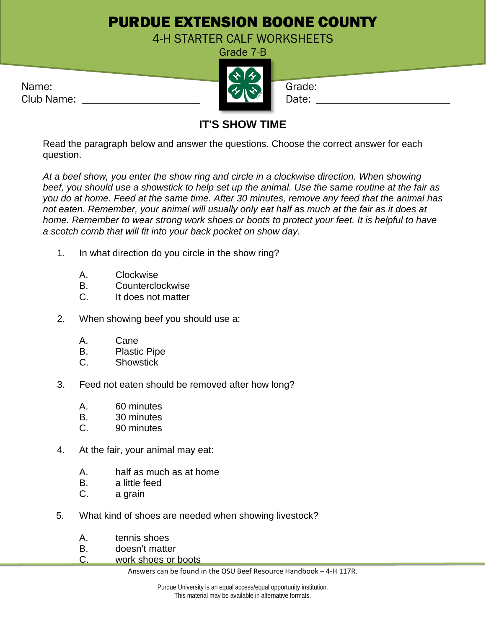## PURDUE EXTENSION BOONE COUNTY

4-H STARTER CALF WORKSHEETS

|            | $\sim$ 1 $\sim$ 1 |        |
|------------|-------------------|--------|
| Name:      | タルやん              | Grade: |
| Club Name: |                   | Date:  |



## **IT'S SHOW TIME**

Read the paragraph below and answer the questions. Choose the correct answer for each question.

*At a beef show, you enter the show ring and circle in a clockwise direction. When showing beef, you should use a showstick to help set up the animal. Use the same routine at the fair as you do at home. Feed at the same time. After 30 minutes, remove any feed that the animal has not eaten. Remember, your animal will usually only eat half as much at the fair as it does at home. Remember to wear strong work shoes or boots to protect your feet. It is helpful to have a scotch comb that will fit into your back pocket on show day.*

- 1. In what direction do you circle in the show ring?
	- A. Clockwise
	- B. Counterclockwise<br>C. It does not matter
	- It does not matter
- 2. When showing beef you should use a:
	- A. Cane
	- B. Plastic Pipe
	- C. Showstick
- 3. Feed not eaten should be removed after how long?
	- A. 60 minutes
	- B. 30 minutes
	- C. 90 minutes
- 4. At the fair, your animal may eat:
	- A. half as much as at home
	- B. a little feed
	- C. a grain
- 5. What kind of shoes are needed when showing livestock?
	- A. tennis shoes
	- B. doesn't matter
	- C. work shoes or boots

Answers can be found in the OSU Beef Resource Handbook – 4-H 117R.